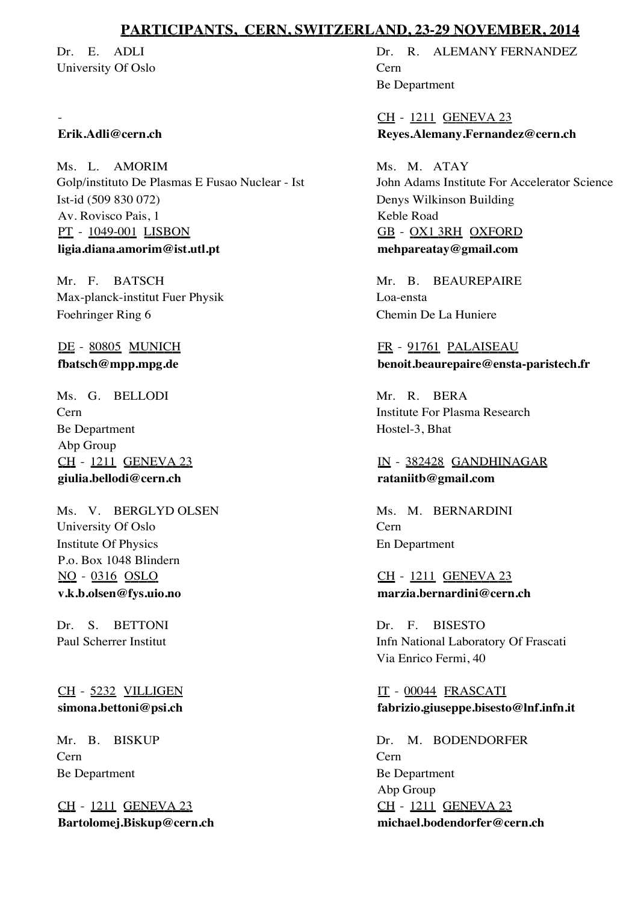# **PARTICIPANTS, CERN, SWITZERLAND, 23-29 NOVEMBER, 2014**

Dr. E. ADLI University Of Oslo

#### **Erik.Adli@cern.ch**

-

Ms. L. AMORIM Golp/instituto De Plasmas E Fusao Nuclear - Ist Av. Rovisco Pais, 1 Ist-id (509 830 072) PT - 1049-001 LISBON **ligia.diana.amorim@ist.utl.pt**

Mr. F. BATSCH Max-planck-institut Fuer Physik Foehringer Ring 6

DE - 80805 MUNICH **fbatsch@mpp.mpg.de**

Ms. G. BELLODI Cern Abp Group Be Department CH - 1211 GENEVA 23 **giulia.bellodi@cern.ch**

Ms. V. BERGLYD OLSEN University Of Oslo P.o. Box 1048 Blindern Institute Of Physics NO - 0316 OSLO **v.k.b.olsen@fys.uio.no**

Dr. S. BETTONI Paul Scherrer Institut

CH - 5232 VILLIGEN **simona.bettoni@psi.ch**

Mr. B. BISKUP Cern Be Department

CH - 1211 GENEVA 23 **Bartolomej.Biskup@cern.ch**

Dr. R. ALEMANY FERNANDEZ Cern Be Department

CH - 1211 GENEVA 23 **Reyes.Alemany.Fernandez@cern.ch**

Ms. M. ATAY John Adams Institute For Accelerator Science Keble Road Denys Wilkinson Building GB - OX1 3RH OXFORD **mehpareatay@gmail.com**

Mr. B. BEAUREPAIRE Loa-ensta Chemin De La Huniere

FR - 91761 PALAISEAU **benoit.beaurepaire@ensta-paristech.fr**

Mr. R. BERA Institute For Plasma Research Hostel-3, Bhat

IN - 382428 GANDHINAGAR **rataniitb@gmail.com**

Ms. M. BERNARDINI Cern En Department

### CH - 1211 GENEVA 23 **marzia.bernardini@cern.ch**

Dr. F. BISESTO Infn National Laboratory Of Frascati Via Enrico Fermi, 40

IT - 00044 FRASCATI **fabrizio.giuseppe.bisesto@lnf.infn.it**

Dr. M. BODENDORFER Cern Abp Group Be Department CH - 1211 GENEVA 23 **michael.bodendorfer@cern.ch**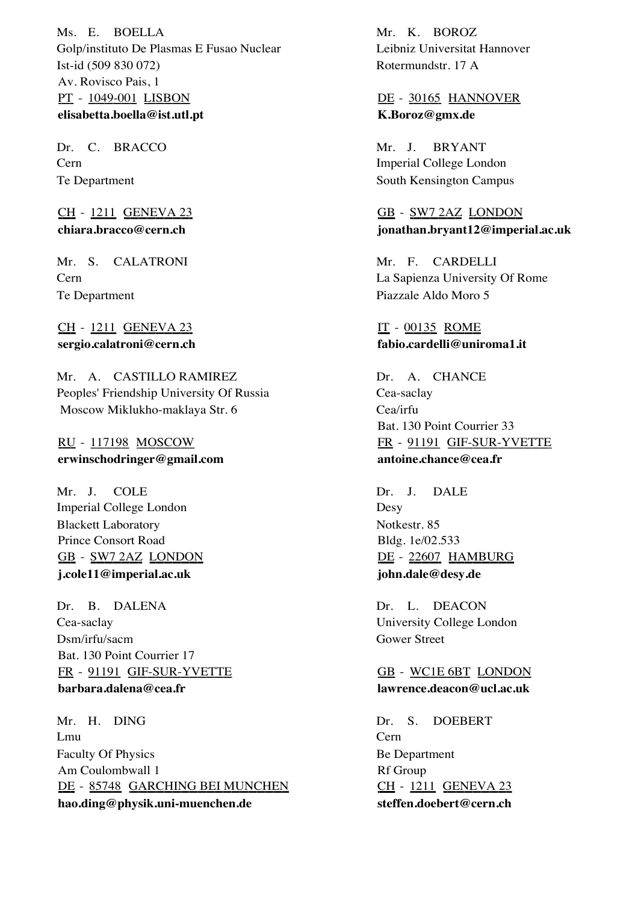Ms. E. BOELLA Golp/instituto De Plasmas E Fusao Nuclear Av. Rovisco Pais, 1 Ist-id (509 830 072) PT - 1049-001 LISBON **elisabetta.boella@ist.utl.pt**

Dr. C. BRACCO Cern Te Department

CH - 1211 GENEVA 23 **chiara.bracco@cern.ch**

Mr. S. CALATRONI Cern Te Department

CH - 1211 GENEVA 23 **sergio.calatroni@cern.ch**

Mr. A. CASTILLO RAMIREZ Peoples' Friendship University Of Russia Moscow Miklukho-maklaya Str. 6

RU - 117198 MOSCOW **erwinschodringer@gmail.com**

Mr. J. COLE Imperial College London Prince Consort Road Blackett Laboratory GB - SW7 2AZ LONDON **j.cole11@imperial.ac.uk**

Dr. B. DALENA Cea-saclay Bat. 130 Point Courrier 17 Dsm/irfu/sacm FR - 91191 GIF-SUR-YVETTE **barbara.dalena@cea.fr**

Mr. H. DING Lmu Am Coulombwall 1 Faculty Of Physics DE - 85748 GARCHING BEI MUNCHEN **hao.ding@physik.uni-muenchen.de**

Mr. K. BOROZ Leibniz Universitat Hannover Rotermundstr. 17 A

DE - 30165 HANNOVER **K.Boroz@gmx.de**

BRYANT Imperial College London Mr. J. South Kensington Campus

GB - SW7 2AZ LONDON **jonathan.bryant12@imperial.ac.uk**

Mr. F. CARDELLI La Sapienza University Of Rome Piazzale Aldo Moro 5

IT - 00135 ROME **fabio.cardelli@uniroma1.it**

Dr. A. CHANCE Cea-saclay Bat. 130 Point Courrier 33 Cea/irfu FR - 91191 GIF-SUR-YVETTE **antoine.chance@cea.fr**

DALE Desy Bldg. 1e/02.533 Dr. J. Notkestr. 85 DE - 22607 HAMBURG **john.dale@desy.de**

Dr. L. DEACON University College London Gower Street

GB - WC1E 6BT LONDON **lawrence.deacon@ucl.ac.uk**

DOEBERT Cern Rf Group Dr. Be Department S. CH - 1211 GENEVA 23 **steffen.doebert@cern.ch**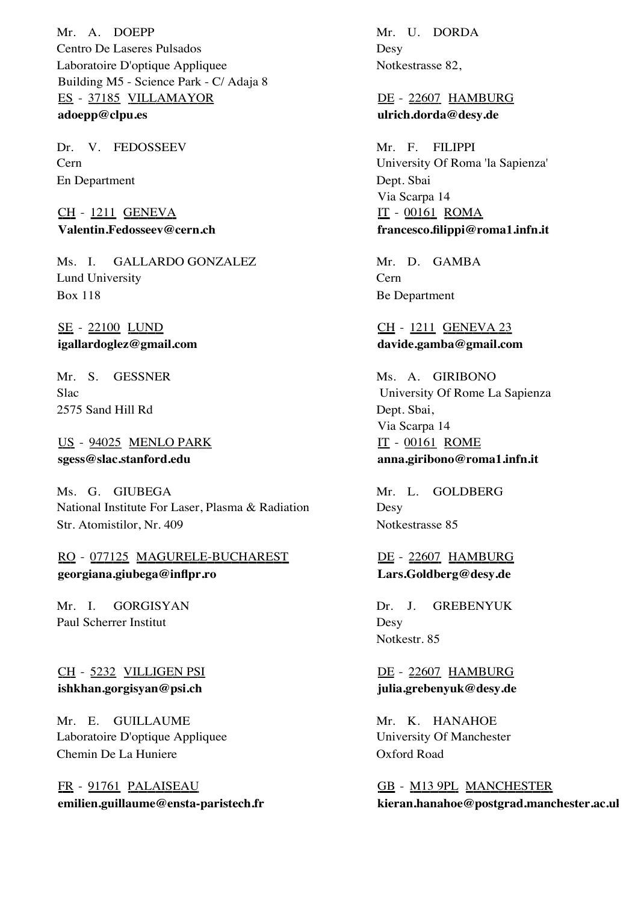Mr. A. DOEPP Centro De Laseres Pulsados Building M5 - Science Park - C/ Adaja 8 Laboratoire D'optique Appliquee ES - 37185 VILLAMAYOR **adoepp@clpu.es**

Dr. V. FEDOSSEEV Cern En Department

CH - 1211 GENEVA **Valentin.Fedosseev@cern.ch**

GALLARDO GONZALEZ Lund University Ms. I. Box 118

SE - 22100 LUND **igallardoglez@gmail.com**

Mr. S. GESSNER Slac 2575 Sand Hill Rd

US - 94025 MENLO PARK **sgess@slac.stanford.edu**

Ms. G. GIUBEGA National Institute For Laser, Plasma & Radiation Str. Atomistilor, Nr. 409

RO - 077125 MAGURELE-BUCHAREST **georgiana.giubega@inflpr.ro**

GORGISYAN Paul Scherrer Institut Mr. I.

CH - 5232 VILLIGEN PSI **ishkhan.gorgisyan@psi.ch**

Mr. E. GUILLAUME Laboratoire D'optique Appliquee Chemin De La Huniere

FR - 91761 PALAISEAU **emilien.guillaume@ensta-paristech.fr**

Mr. U. DORDA Desy Notkestrasse 82,

DE - 22607 HAMBURG **ulrich.dorda@desy.de**

Mr. F. FILIPPI University Of Roma 'la Sapienza' Via Scarpa 14 Dept. Sbai IT - 00161 ROMA **francesco.filippi@roma1.infn.it**

Mr. D. GAMBA Cern Be Department

CH - 1211 GENEVA 23 **davide.gamba@gmail.com**

Ms. A. GIRIBONO University Of Rome La Sapienza Via Scarpa 14 Dept. Sbai, IT - 00161 ROME **anna.giribono@roma1.infn.it**

Mr. L. GOLDBERG Desy Notkestrasse 85

DE - 22607 HAMBURG **Lars.Goldberg@desy.de**

GREBENYUK Desy Dr. J. Notkestr. 85

DE - 22607 HAMBURG **julia.grebenyuk@desy.de**

Mr. K. HANAHOE University Of Manchester Oxford Road

GB - M13 9PL MANCHESTER **kieran.hanahoe@postgrad.manchester.ac.uk**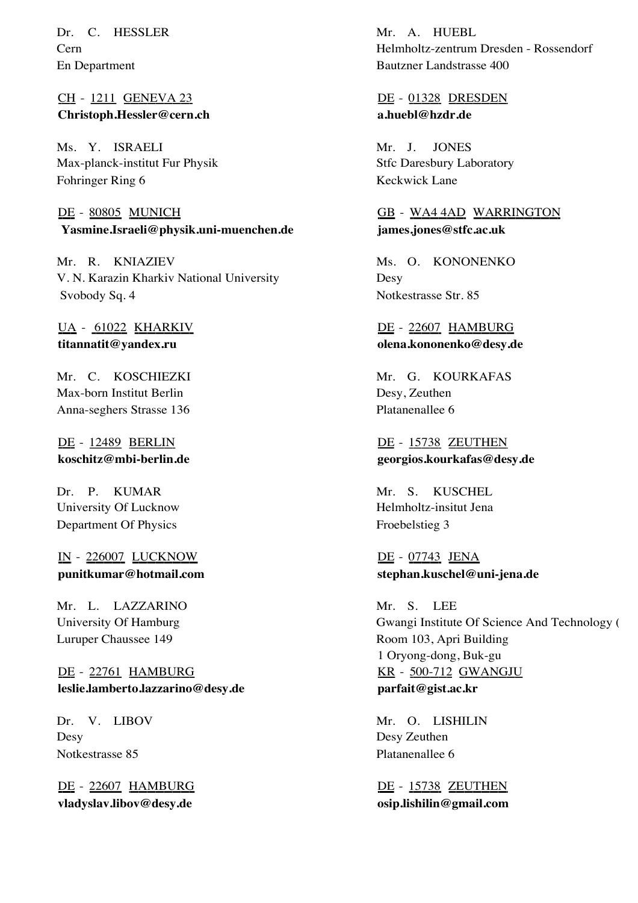Dr. C. HESSLER Cern En Department

CH - 1211 GENEVA 23 **Christoph.Hessler@cern.ch**

Ms. Y. ISRAELI Max-planck-institut Fur Physik Fohringer Ring 6

DE - 80805 MUNICH  **Yasmine.Israeli@physik.uni-muenchen.de**

Mr. R. KNIAZIEV V. N. Karazin Kharkiv National University Svobody Sq. 4

UA - 61022 KHARKIV **titannatit@yandex.ru**

Mr. C. KOSCHIEZKI Max-born Institut Berlin Anna-seghers Strasse 136

DE - 12489 BERLIN **koschitz@mbi-berlin.de**

KUMAR University Of Lucknow Dr. P. Department Of Physics

IN - 226007 LUCKNOW **punitkumar@hotmail.com**

Mr. L. LAZZARINO University Of Hamburg Luruper Chaussee 149

DE - 22761 HAMBURG **leslie.lamberto.lazzarino@desy.de**

V. LIBOV Desy Dr. Notkestrasse 85

DE - 22607 HAMBURG **vladyslav.libov@desy.de**

Mr. A. HUEBL Helmholtz-zentrum Dresden - Rossendorf Bautzner Landstrasse 400

## DE - 01328 DRESDEN **a.huebl@hzdr.de**

JONES Stfc Daresbury Laboratory Mr. J. Keckwick Lane

GB - WA4 4AD WARRINGTON **james.jones@stfc.ac.uk**

Ms. O. KONONENKO Desy Notkestrasse Str. 85

DE - 22607 HAMBURG **olena.kononenko@desy.de**

Mr. G. KOURKAFAS Desy, Zeuthen Platanenallee 6

DE - 15738 ZEUTHEN **georgios.kourkafas@desy.de**

KUSCHEL Helmholtz-insitut Jena Mr. S. Froebelstieg 3

DE - 07743 JENA **stephan.kuschel@uni-jena.de**

Mr. S. LEE Gwangi Institute Of Science And Technology ( 1 Oryong-dong, Buk-gu Room 103, Apri Building KR - 500-712 GWANGJU **parfait@gist.ac.kr**

Mr. O. LISHILIN Desy Zeuthen Platanenallee 6

DE - 15738 ZEUTHEN **osip.lishilin@gmail.com**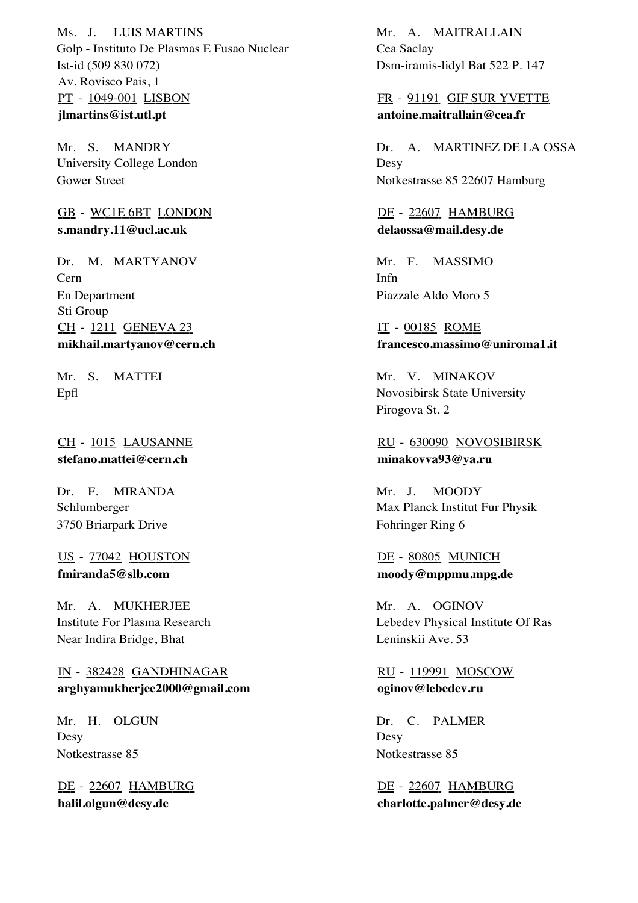Ms. J. LUIS MARTINS Golp - Instituto De Plasmas E Fusao Nuclear Av. Rovisco Pais, 1 Ist-id (509 830 072) PT - 1049-001 LISBON **jlmartins@ist.utl.pt**

Mr. S. MANDRY University College London Gower Street

GB - WC1E 6BT LONDON **s.mandry.11@ucl.ac.uk**

Dr. M. MARTYANOV Cern Sti Group En Department CH - 1211 GENEVA 23 **mikhail.martyanov@cern.ch**

MATTEI Epfl Mr. S.

CH - 1015 LAUSANNE **stefano.mattei@cern.ch**

Dr. F. MIRANDA Schlumberger 3750 Briarpark Drive

US - 77042 HOUSTON **fmiranda5@slb.com**

Mr. A. MUKHERJEE Institute For Plasma Research Near Indira Bridge, Bhat

IN - 382428 GANDHINAGAR **arghyamukherjee2000@gmail.com**

Mr. H. OLGUN Desy Notkestrasse 85

DE - 22607 HAMBURG **halil.olgun@desy.de**

Mr. A. MAITRALLAIN Cea Saclay Dsm-iramis-lidyl Bat 522 P. 147

FR - 91191 GIF SUR YVETTE **antoine.maitrallain@cea.fr**

Dr. A. MARTINEZ DE LA OSSA **Desy** Notkestrasse 85 22607 Hamburg

DE - 22607 HAMBURG **delaossa@mail.desy.de**

MASSIMO Infn Mr. F. Piazzale Aldo Moro 5

IT - 00185 ROME **francesco.massimo@uniroma1.it**

Mr. V. MINAKOV Novosibirsk State University Pirogova St. 2

RU - 630090 NOVOSIBIRSK **minakovva93@ya.ru**

**MOODY** Max Planck Institut Fur Physik Mr. J. Fohringer Ring 6

# DE - 80805 MUNICH **moody@mppmu.mpg.de**

Mr. A. OGINOV Lebedev Physical Institute Of Ras Leninskii Ave. 53

RU - 119991 MOSCOW **oginov@lebedev.ru**

Dr. C. PALMER Desy Notkestrasse 85

DE - 22607 HAMBURG **charlotte.palmer@desy.de**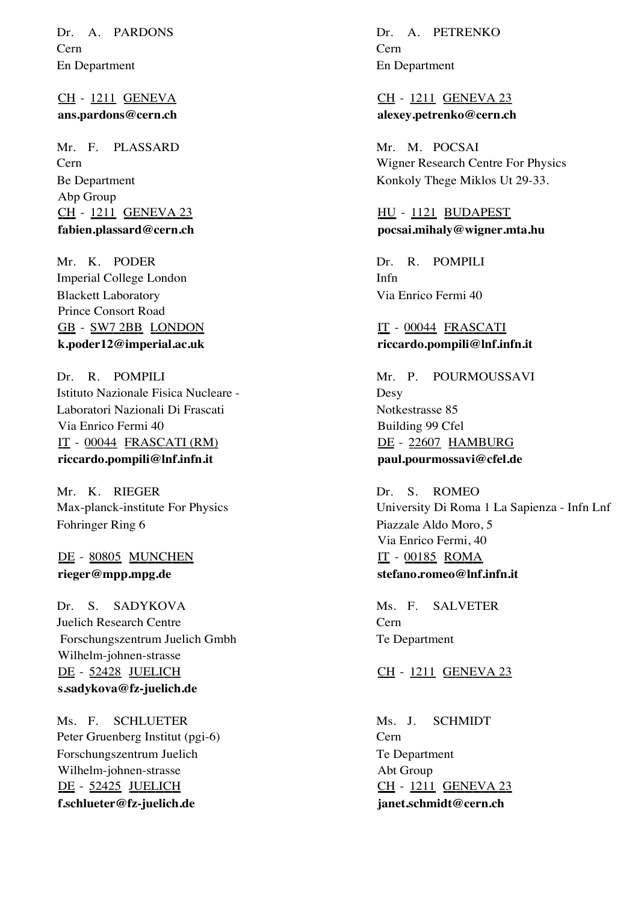Dr. A. PARDONS Cern En Department

CH - 1211 GENEVA **ans.pardons@cern.ch**

Mr. F. PLASSARD Cern Abp Group Be Department CH - 1211 GENEVA 23 **fabien.plassard@cern.ch**

Mr. K. PODER Imperial College London Prince Consort Road Blackett Laboratory GB - SW7 2BB LONDON **k.poder12@imperial.ac.uk**

Dr. R. POMPILI Istituto Nazionale Fisica Nucleare - Via Enrico Fermi 40 Laboratori Nazionali Di Frascati IT - 00044 FRASCATI (RM) **riccardo.pompili@lnf.infn.it**

Mr. K. RIEGER Max-planck-institute For Physics Fohringer Ring 6

DE - 80805 MUNCHEN **rieger@mpp.mpg.de**

SADYKOVA Juelich Research Centre Wilhelm-johnen-strasse Dr. S. Forschungszentrum Juelich Gmbh DE - 52428 JUELICH **s.sadykova@fz-juelich.de**

Ms. F. SCHLUETER Peter Gruenberg Institut (pgi-6) Wilhelm-johnen-strasse Forschungszentrum Juelich DE - 52425 JUELICH **f.schlueter@fz-juelich.de**

Dr. A. PETRENKO Cern En Department

CH - 1211 GENEVA 23 **alexey.petrenko@cern.ch**

Mr. M. POCSAI Wigner Research Centre For Physics Konkoly Thege Miklos Ut 29-33.

HU - 1121 BUDAPEST **pocsai.mihaly@wigner.mta.hu**

R. POMPILI Infn Dr. Via Enrico Fermi 40

IT - 00044 FRASCATI **riccardo.pompili@lnf.infn.it**

**POURMOUSSAVI** Desy Building 99 Cfel Mr. P. Notkestrasse 85 DE - 22607 HAMBURG **paul.pourmossavi@cfel.de**

ROMEO University Di Roma 1 La Sapienza - Infn Lnf Via Enrico Fermi, 40 Dr. S. Piazzale Aldo Moro, 5 IT - 00185 ROMA **stefano.romeo@lnf.infn.it**

SALVETER Cern Ms. F. Te Department

CH - 1211 GENEVA 23

SCHMIDT Cern Abt Group Ms. J. Te Department CH - 1211 GENEVA 23 **janet.schmidt@cern.ch**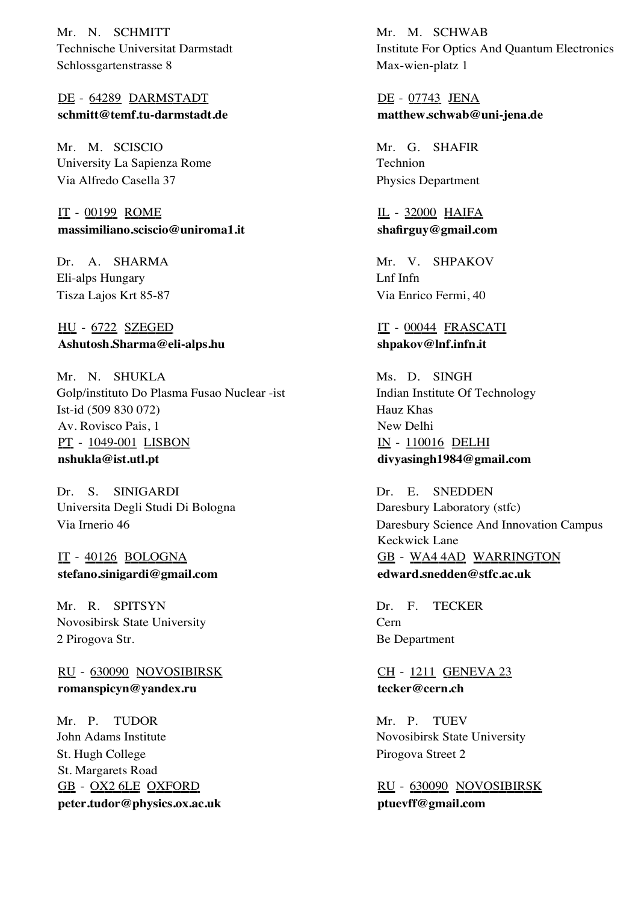Mr. N. SCHMITT Technische Universitat Darmstadt Schlossgartenstrasse 8

DE - 64289 DARMSTADT **schmitt@temf.tu-darmstadt.de**

Mr. M. SCISCIO University La Sapienza Rome Via Alfredo Casella 37

IT - 00199 ROME **massimiliano.sciscio@uniroma1.it**

Dr. A. SHARMA Eli-alps Hungary Tisza Lajos Krt 85-87

HU - 6722 SZEGED **Ashutosh.Sharma@eli-alps.hu**

Mr. N. SHUKLA Golp/instituto Do Plasma Fusao Nuclear -ist Av. Rovisco Pais, 1 Ist-id (509 830 072) PT - 1049-001 LISBON **nshukla@ist.utl.pt**

SINIGARDI Universita Degli Studi Di Bologna Dr. S. Via Irnerio 46

IT - 40126 BOLOGNA **stefano.sinigardi@gmail.com**

Mr. R. SPITSYN Novosibirsk State University 2 Pirogova Str.

RU - 630090 NOVOSIBIRSK **romanspicyn@yandex.ru**

Mr. P. TUDOR John Adams Institute St. Margarets Road St. Hugh College GB - OX2 6LE OXFORD **peter.tudor@physics.ox.ac.uk**

Mr. M. SCHWAB Institute For Optics And Quantum Electronics Max-wien-platz 1

DE - 07743 JENA **matthew.schwab@uni-jena.de**

Mr. G. SHAFIR Technion Physics Department

IL - 32000 HAIFA **shafirguy@gmail.com**

Mr. V. SHPAKOV Lnf Infn Via Enrico Fermi, 40

IT - 00044 FRASCATI **shpakov@lnf.infn.it**

Ms. D. SINGH Indian Institute Of Technology New Delhi Hauz Khas IN - 110016 DELHI **divyasingh1984@gmail.com**

Dr. E. SNEDDEN Daresbury Laboratory (stfc) Keckwick Lane Daresbury Science And Innovation Campus GB - WA4 4AD WARRINGTON **edward.snedden@stfc.ac.uk**

**TECKER** Cern Dr. F. Be Department

CH - 1211 GENEVA 23 **tecker@cern.ch**

Mr. P. TUEV Novosibirsk State University Pirogova Street 2

RU - 630090 NOVOSIBIRSK **ptuevff@gmail.com**